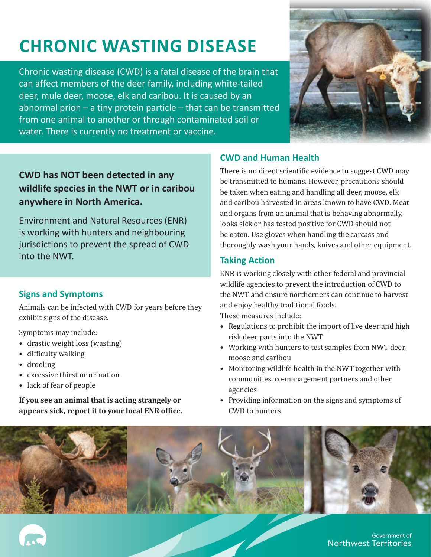# **CHRONIC WASTING DISEASE**

Chronic wasting disease (CWD) is a fatal disease of the brain that can affect members of the deer family, including white-tailed deer, mule deer, moose, elk and caribou. It is caused by an abnormal prion – a tiny protein particle – that can be transmitted from one animal to another or through contaminated soil or water. There is currently no treatment or vaccine.



## **CWD has NOT been detected in any wildlife species in the NWT or in caribou anywhere in North America.**

Environment and Natural Resources (ENR) is working with hunters and neighbouring jurisdictions to prevent the spread of CWD into the NWT.

### **Signs and Symptoms**

Animals can be infected with CWD for years before they exhibit signs of the disease.

Symptoms may include:

- drastic weight loss (wasting)
- difficulty walking
- drooling
- excessive thirst or urination
- lack of fear of people

**If you see an animal that is acting strangely or appears sick, report it to your local ENR office.**

#### **CWD and Human Health**

There is no direct scientific evidence to suggest CWD may be transmitted to humans. However, precautions should be taken when eating and handling all deer, moose, elk and caribou harvested in areas known to have CWD. Meat and organs from an animal that is behaving abnormally, looks sick or has tested positive for CWD should not be eaten. Use gloves when handling the carcass and thoroughly wash your hands, knives and other equipment.

#### **Taking Action**

ENR is working closely with other federal and provincial wildlife agencies to prevent the introduction of CWD to the NWT and ensure northerners can continue to harvest and enjoy healthy traditional foods.

These measures include:

- Regulations to prohibit the import of live deer and high risk deer parts into the NWT
- Working with hunters to test samples from NWT deer, moose and caribou
- Monitoring wildlife health in the NWT together with communities, co-management partners and other agencies
- Providing information on the signs and symptoms of CWD to hunters